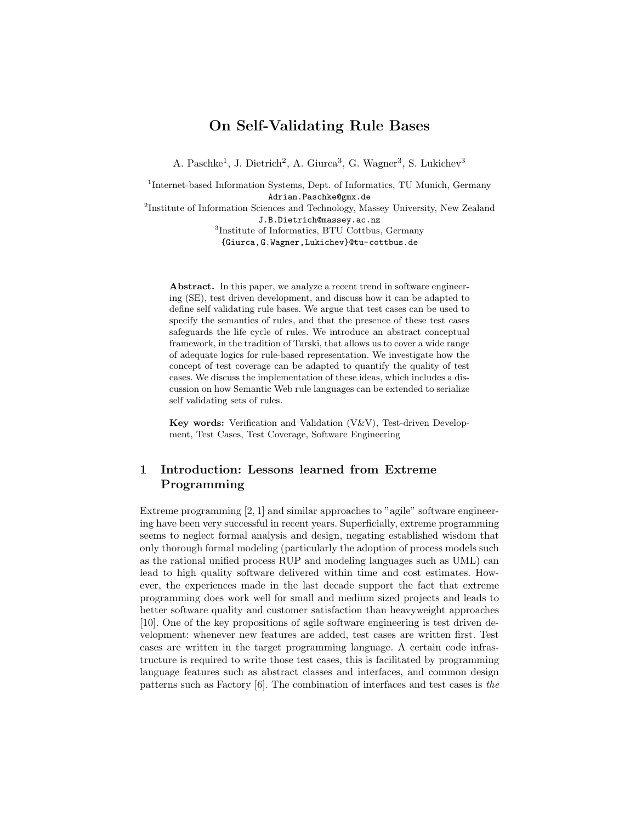# On Self-Validating Rule Bases

A. Paschke<sup>1</sup>, J. Dietrich<sup>2</sup>, A. Giurca<sup>3</sup>, G. Wagner<sup>3</sup>, S. Lukichev<sup>3</sup>

<sup>1</sup>Internet-based Information Systems, Dept. of Informatics, TU Munich, Germany Adrian.Paschke@gmx.de <sup>2</sup>Institute of Information Sciences and Technology, Massey University, New Zealand J.B.Dietrich@massey.ac.nz 3 Institute of Informatics, BTU Cottbus, Germany {Giurca,G.Wagner,Lukichev}@tu-cottbus.de

Abstract. In this paper, we analyze a recent trend in software engineering (SE), test driven development, and discuss how it can be adapted to define self validating rule bases. We argue that test cases can be used to specify the semantics of rules, and that the presence of these test cases safeguards the life cycle of rules. We introduce an abstract conceptual framework, in the tradition of Tarski, that allows us to cover a wide range of adequate logics for rule-based representation. We investigate how the concept of test coverage can be adapted to quantify the quality of test cases. We discuss the implementation of these ideas, which includes a discussion on how Semantic Web rule languages can be extended to serialize self validating sets of rules.

Key words: Verification and Validation (V&V), Test-driven Development, Test Cases, Test Coverage, Software Engineering

# 1 Introduction: Lessons learned from Extreme Programming

Extreme programming  $[2, 1]$  and similar approaches to "agile" software engineering have been very successful in recent years. Superficially, extreme programming seems to neglect formal analysis and design, negating established wisdom that only thorough formal modeling (particularly the adoption of process models such as the rational unified process RUP and modeling languages such as UML) can lead to high quality software delivered within time and cost estimates. However, the experiences made in the last decade support the fact that extreme programming does work well for small and medium sized projects and leads to better software quality and customer satisfaction than heavyweight approaches [10]. One of the key propositions of agile software engineering is test driven development: whenever new features are added, test cases are written first. Test cases are written in the target programming language. A certain code infrastructure is required to write those test cases, this is facilitated by programming language features such as abstract classes and interfaces, and common design patterns such as Factory [6]. The combination of interfaces and test cases is the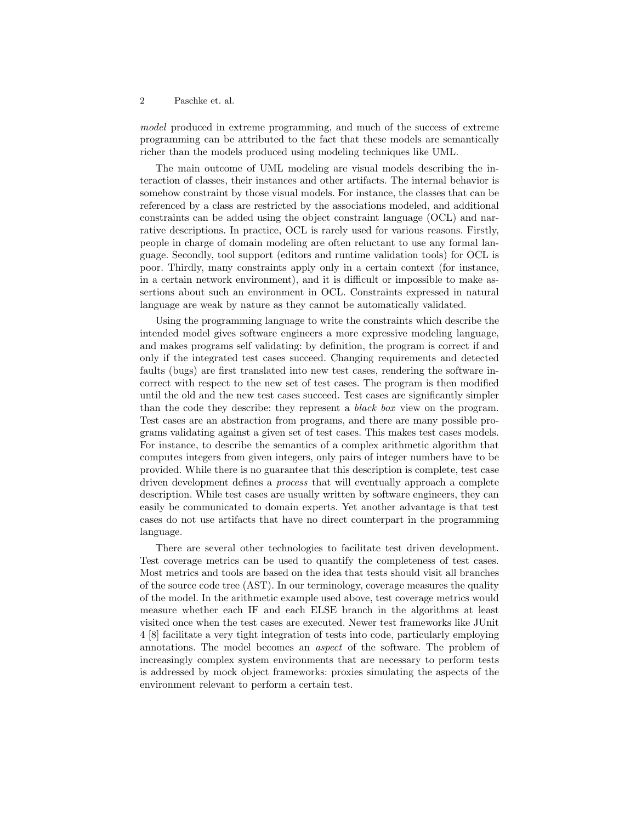model produced in extreme programming, and much of the success of extreme programming can be attributed to the fact that these models are semantically richer than the models produced using modeling techniques like UML.

The main outcome of UML modeling are visual models describing the interaction of classes, their instances and other artifacts. The internal behavior is somehow constraint by those visual models. For instance, the classes that can be referenced by a class are restricted by the associations modeled, and additional constraints can be added using the object constraint language (OCL) and narrative descriptions. In practice, OCL is rarely used for various reasons. Firstly, people in charge of domain modeling are often reluctant to use any formal language. Secondly, tool support (editors and runtime validation tools) for OCL is poor. Thirdly, many constraints apply only in a certain context (for instance, in a certain network environment), and it is difficult or impossible to make assertions about such an environment in OCL. Constraints expressed in natural language are weak by nature as they cannot be automatically validated.

Using the programming language to write the constraints which describe the intended model gives software engineers a more expressive modeling language, and makes programs self validating: by definition, the program is correct if and only if the integrated test cases succeed. Changing requirements and detected faults (bugs) are first translated into new test cases, rendering the software incorrect with respect to the new set of test cases. The program is then modified until the old and the new test cases succeed. Test cases are significantly simpler than the code they describe: they represent a black box view on the program. Test cases are an abstraction from programs, and there are many possible programs validating against a given set of test cases. This makes test cases models. For instance, to describe the semantics of a complex arithmetic algorithm that computes integers from given integers, only pairs of integer numbers have to be provided. While there is no guarantee that this description is complete, test case driven development defines a process that will eventually approach a complete description. While test cases are usually written by software engineers, they can easily be communicated to domain experts. Yet another advantage is that test cases do not use artifacts that have no direct counterpart in the programming language.

There are several other technologies to facilitate test driven development. Test coverage metrics can be used to quantify the completeness of test cases. Most metrics and tools are based on the idea that tests should visit all branches of the source code tree (AST). In our terminology, coverage measures the quality of the model. In the arithmetic example used above, test coverage metrics would measure whether each IF and each ELSE branch in the algorithms at least visited once when the test cases are executed. Newer test frameworks like JUnit 4 [8] facilitate a very tight integration of tests into code, particularly employing annotations. The model becomes an aspect of the software. The problem of increasingly complex system environments that are necessary to perform tests is addressed by mock object frameworks: proxies simulating the aspects of the environment relevant to perform a certain test.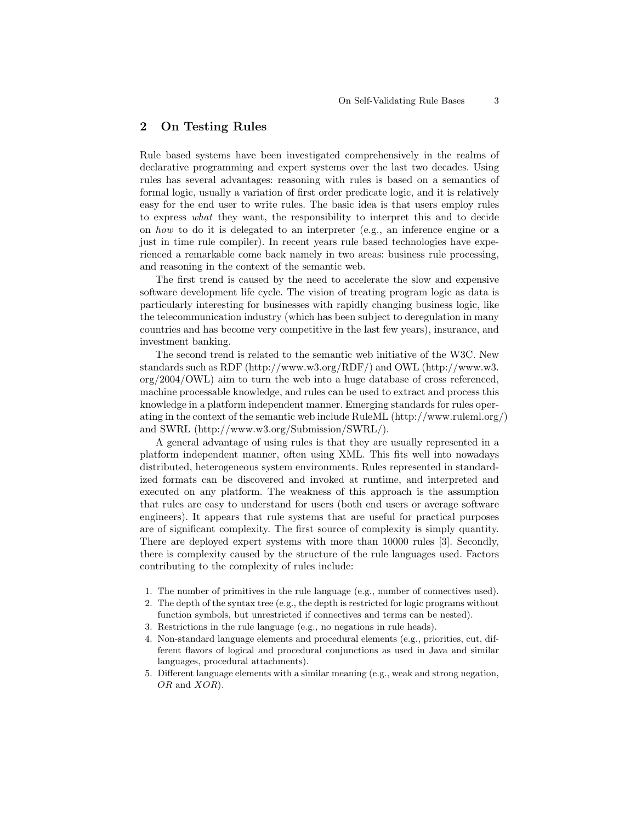# 2 On Testing Rules

Rule based systems have been investigated comprehensively in the realms of declarative programming and expert systems over the last two decades. Using rules has several advantages: reasoning with rules is based on a semantics of formal logic, usually a variation of first order predicate logic, and it is relatively easy for the end user to write rules. The basic idea is that users employ rules to express what they want, the responsibility to interpret this and to decide on how to do it is delegated to an interpreter (e.g., an inference engine or a just in time rule compiler). In recent years rule based technologies have experienced a remarkable come back namely in two areas: business rule processing, and reasoning in the context of the semantic web.

The first trend is caused by the need to accelerate the slow and expensive software development life cycle. The vision of treating program logic as data is particularly interesting for businesses with rapidly changing business logic, like the telecommunication industry (which has been subject to deregulation in many countries and has become very competitive in the last few years), insurance, and investment banking.

The second trend is related to the semantic web initiative of the W3C. New standards such as RDF (http://www.w3.org/RDF/) and OWL (http://www.w3. org/2004/OWL) aim to turn the web into a huge database of cross referenced, machine processable knowledge, and rules can be used to extract and process this knowledge in a platform independent manner. Emerging standards for rules operating in the context of the semantic web include RuleML (http://www.ruleml.org/) and SWRL (http://www.w3.org/Submission/SWRL/).

A general advantage of using rules is that they are usually represented in a platform independent manner, often using XML. This fits well into nowadays distributed, heterogeneous system environments. Rules represented in standardized formats can be discovered and invoked at runtime, and interpreted and executed on any platform. The weakness of this approach is the assumption that rules are easy to understand for users (both end users or average software engineers). It appears that rule systems that are useful for practical purposes are of significant complexity. The first source of complexity is simply quantity. There are deployed expert systems with more than 10000 rules [3]. Secondly, there is complexity caused by the structure of the rule languages used. Factors contributing to the complexity of rules include:

- 1. The number of primitives in the rule language (e.g., number of connectives used).
- 2. The depth of the syntax tree (e.g., the depth is restricted for logic programs without function symbols, but unrestricted if connectives and terms can be nested).
- 3. Restrictions in the rule language (e.g., no negations in rule heads).
- 4. Non-standard language elements and procedural elements (e.g., priorities, cut, different flavors of logical and procedural conjunctions as used in Java and similar languages, procedural attachments).
- 5. Different language elements with a similar meaning (e.g., weak and strong negation, OR and  $XOR$ ).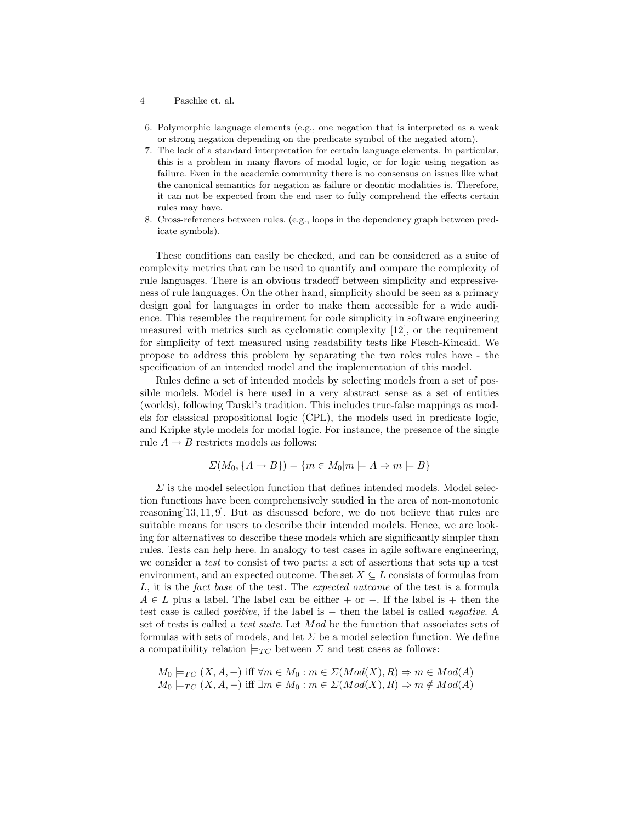- 4 Paschke et. al.
- 6. Polymorphic language elements (e.g., one negation that is interpreted as a weak or strong negation depending on the predicate symbol of the negated atom).
- 7. The lack of a standard interpretation for certain language elements. In particular, this is a problem in many flavors of modal logic, or for logic using negation as failure. Even in the academic community there is no consensus on issues like what the canonical semantics for negation as failure or deontic modalities is. Therefore, it can not be expected from the end user to fully comprehend the effects certain rules may have.
- 8. Cross-references between rules. (e.g., loops in the dependency graph between predicate symbols).

These conditions can easily be checked, and can be considered as a suite of complexity metrics that can be used to quantify and compare the complexity of rule languages. There is an obvious tradeoff between simplicity and expressiveness of rule languages. On the other hand, simplicity should be seen as a primary design goal for languages in order to make them accessible for a wide audience. This resembles the requirement for code simplicity in software engineering measured with metrics such as cyclomatic complexity [12], or the requirement for simplicity of text measured using readability tests like Flesch-Kincaid. We propose to address this problem by separating the two roles rules have - the specification of an intended model and the implementation of this model.

Rules define a set of intended models by selecting models from a set of possible models. Model is here used in a very abstract sense as a set of entities (worlds), following Tarski's tradition. This includes true-false mappings as models for classical propositional logic (CPL), the models used in predicate logic, and Kripke style models for modal logic. For instance, the presence of the single rule  $A \rightarrow B$  restricts models as follows:

$$
\Sigma(M_0, \{A \to B\}) = \{m \in M_0 | m \models A \Rightarrow m \models B\}
$$

 $\Sigma$  is the model selection function that defines intended models. Model selection functions have been comprehensively studied in the area of non-monotonic reasoning[13, 11, 9]. But as discussed before, we do not believe that rules are suitable means for users to describe their intended models. Hence, we are looking for alternatives to describe these models which are significantly simpler than rules. Tests can help here. In analogy to test cases in agile software engineering, we consider a test to consist of two parts: a set of assertions that sets up a test environment, and an expected outcome. The set  $X \subseteq L$  consists of formulas from L, it is the fact base of the test. The expected outcome of the test is a formula  $A \in L$  plus a label. The label can be either + or −. If the label is + then the test case is called *positive*, if the label is − then the label is called *negative*. A set of tests is called a test suite. Let Mod be the function that associates sets of formulas with sets of models, and let  $\Sigma$  be a model selection function. We define a compatibility relation  $\models_{TC}$  between  $\Sigma$  and test cases as follows:

$$
M_0 \models_{TC} (X, A, +) \text{ iff } \forall m \in M_0 : m \in \Sigma(Mod(X), R) \Rightarrow m \in Mod(A)
$$
  

$$
M_0 \models_{TC} (X, A, -) \text{ iff } \exists m \in M_0 : m \in \Sigma(Mod(X), R) \Rightarrow m \notin Mod(A)
$$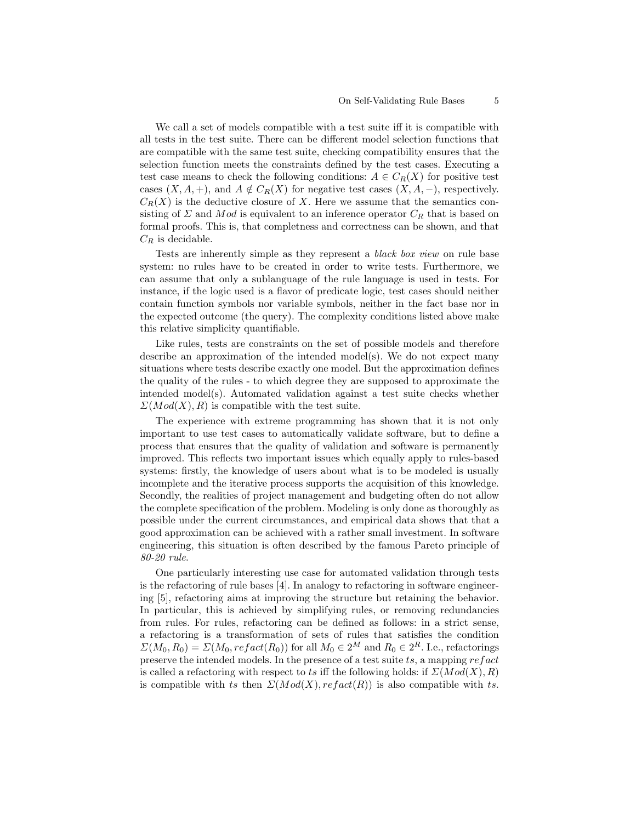We call a set of models compatible with a test suite iff it is compatible with all tests in the test suite. There can be different model selection functions that are compatible with the same test suite, checking compatibility ensures that the selection function meets the constraints defined by the test cases. Executing a test case means to check the following conditions:  $A \in C_R(X)$  for positive test cases  $(X, A, +)$ , and  $A \notin C_R(X)$  for negative test cases  $(X, A, -)$ , respectively.  $C_R(X)$  is the deductive closure of X. Here we assume that the semantics consisting of  $\Sigma$  and Mod is equivalent to an inference operator  $C_R$  that is based on formal proofs. This is, that completness and correctness can be shown, and that  $C_R$  is decidable.

Tests are inherently simple as they represent a black box view on rule base system: no rules have to be created in order to write tests. Furthermore, we can assume that only a sublanguage of the rule language is used in tests. For instance, if the logic used is a flavor of predicate logic, test cases should neither contain function symbols nor variable symbols, neither in the fact base nor in the expected outcome (the query). The complexity conditions listed above make this relative simplicity quantifiable.

Like rules, tests are constraints on the set of possible models and therefore describe an approximation of the intended model(s). We do not expect many situations where tests describe exactly one model. But the approximation defines the quality of the rules - to which degree they are supposed to approximate the intended model(s). Automated validation against a test suite checks whether  $\Sigma(Mod(X), R)$  is compatible with the test suite.

The experience with extreme programming has shown that it is not only important to use test cases to automatically validate software, but to define a process that ensures that the quality of validation and software is permanently improved. This reflects two important issues which equally apply to rules-based systems: firstly, the knowledge of users about what is to be modeled is usually incomplete and the iterative process supports the acquisition of this knowledge. Secondly, the realities of project management and budgeting often do not allow the complete specification of the problem. Modeling is only done as thoroughly as possible under the current circumstances, and empirical data shows that that a good approximation can be achieved with a rather small investment. In software engineering, this situation is often described by the famous Pareto principle of 80-20 rule.

One particularly interesting use case for automated validation through tests is the refactoring of rule bases [4]. In analogy to refactoring in software engineering [5], refactoring aims at improving the structure but retaining the behavior. In particular, this is achieved by simplifying rules, or removing redundancies from rules. For rules, refactoring can be defined as follows: in a strict sense, a refactoring is a transformation of sets of rules that satisfies the condition  $\Sigma(M_0, R_0) = \Sigma(M_0, refact(R_0))$  for all  $M_0 \in 2^M$  and  $R_0 \in 2^R$ . I.e., refactorings preserve the intended models. In the presence of a test suite ts, a mapping  $refact$ is called a refactoring with respect to ts iff the following holds: if  $\Sigma(Mod(X), R)$ is compatible with ts then  $\Sigma(Mod(X), refact(R))$  is also compatible with ts.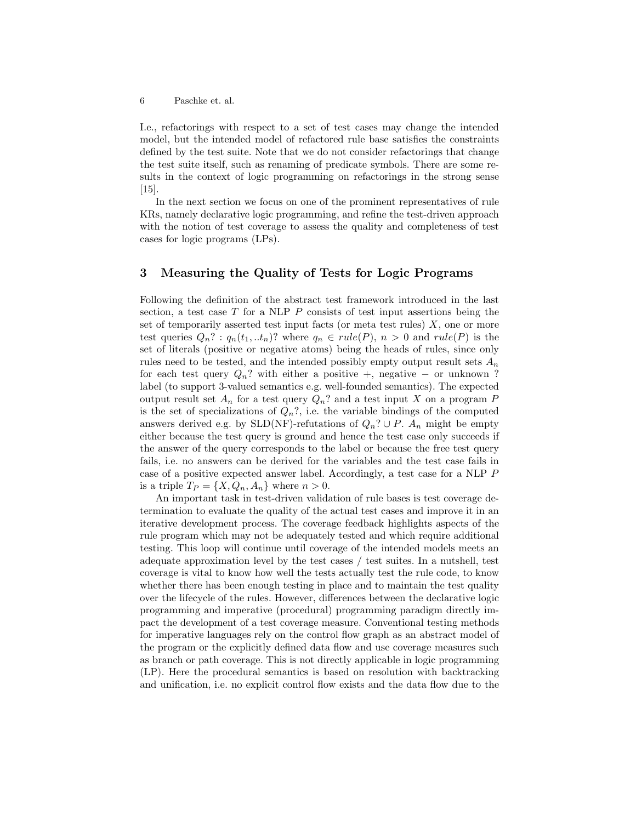I.e., refactorings with respect to a set of test cases may change the intended model, but the intended model of refactored rule base satisfies the constraints defined by the test suite. Note that we do not consider refactorings that change the test suite itself, such as renaming of predicate symbols. There are some results in the context of logic programming on refactorings in the strong sense [15].

In the next section we focus on one of the prominent representatives of rule KRs, namely declarative logic programming, and refine the test-driven approach with the notion of test coverage to assess the quality and completeness of test cases for logic programs (LPs).

# 3 Measuring the Quality of Tests for Logic Programs

Following the definition of the abstract test framework introduced in the last section, a test case  $T$  for a NLP  $P$  consists of test input assertions being the set of temporarily asserted test input facts (or meta test rules)  $X$ , one or more test queries  $Q_n$ ? :  $q_n(t_1,..t_n)$ ? where  $q_n \in rule(P)$ ,  $n > 0$  and  $rule(P)$  is the set of literals (positive or negative atoms) being the heads of rules, since only rules need to be tested, and the intended possibly empty output result sets  $A_n$ for each test query  $Q_n$ ? with either a positive +, negative – or unknown ? label (to support 3-valued semantics e.g. well-founded semantics). The expected output result set  $A_n$  for a test query  $Q_n$ ? and a test input X on a program P is the set of specializations of  $Q_n$ ?, i.e. the variable bindings of the computed answers derived e.g. by SLD(NF)-refutations of  $Q_n$ ? ∪ P.  $A_n$  might be empty either because the test query is ground and hence the test case only succeeds if the answer of the query corresponds to the label or because the free test query fails, i.e. no answers can be derived for the variables and the test case fails in case of a positive expected answer label. Accordingly, a test case for a NLP P is a triple  $T_P = \{X, Q_n, A_n\}$  where  $n > 0$ .

An important task in test-driven validation of rule bases is test coverage determination to evaluate the quality of the actual test cases and improve it in an iterative development process. The coverage feedback highlights aspects of the rule program which may not be adequately tested and which require additional testing. This loop will continue until coverage of the intended models meets an adequate approximation level by the test cases / test suites. In a nutshell, test coverage is vital to know how well the tests actually test the rule code, to know whether there has been enough testing in place and to maintain the test quality over the lifecycle of the rules. However, differences between the declarative logic programming and imperative (procedural) programming paradigm directly impact the development of a test coverage measure. Conventional testing methods for imperative languages rely on the control flow graph as an abstract model of the program or the explicitly defined data flow and use coverage measures such as branch or path coverage. This is not directly applicable in logic programming (LP). Here the procedural semantics is based on resolution with backtracking and unification, i.e. no explicit control flow exists and the data flow due to the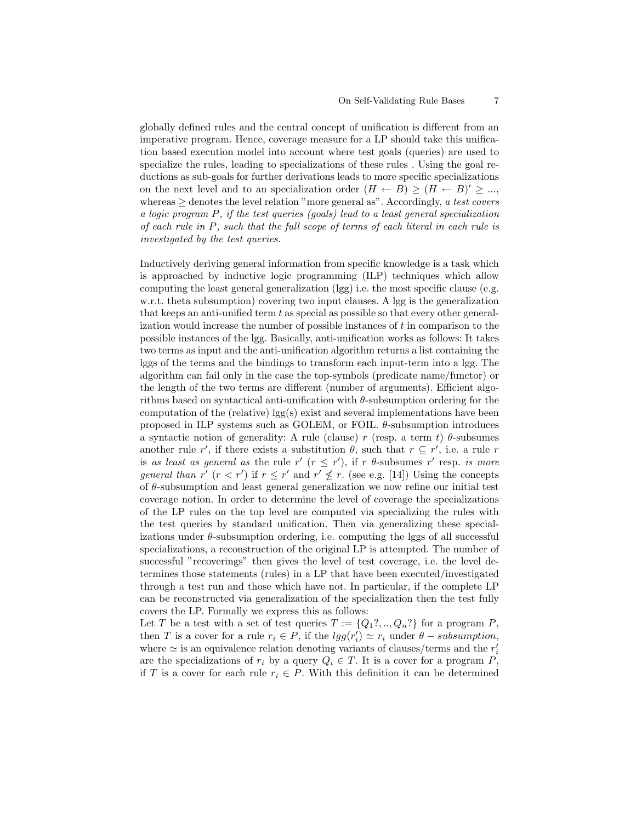globally defined rules and the central concept of unification is different from an imperative program. Hence, coverage measure for a LP should take this unification based execution model into account where test goals (queries) are used to specialize the rules, leading to specializations of these rules . Using the goal reductions as sub-goals for further derivations leads to more specific specializations on the next level and to an specialization order  $(H \leftarrow B) \geq (H \leftarrow B)' \geq ...$ whereas  $\geq$  denotes the level relation "more general as". Accordingly, a test covers a logic program P, if the test queries (goals) lead to a least general specialization of each rule in P, such that the full scope of terms of each literal in each rule is investigated by the test queries.

Inductively deriving general information from specific knowledge is a task which is approached by inductive logic programming (ILP) techniques which allow computing the least general generalization (lgg) i.e. the most specific clause (e.g. w.r.t. theta subsumption) covering two input clauses. A lgg is the generalization that keeps an anti-unified term  $t$  as special as possible so that every other generalization would increase the number of possible instances of t in comparison to the possible instances of the lgg. Basically, anti-unification works as follows: It takes two terms as input and the anti-unification algorithm returns a list containing the lggs of the terms and the bindings to transform each input-term into a lgg. The algorithm can fail only in the case the top-symbols (predicate name/functor) or the length of the two terms are different (number of arguments). Efficient algorithms based on syntactical anti-unification with  $\theta$ -subsumption ordering for the computation of the (relative)  $\log(s)$  exist and several implementations have been proposed in ILP systems such as GOLEM, or FOIL.  $\theta$ -subsumption introduces a syntactic notion of generality: A rule (clause) r (resp. a term t)  $\theta$ -subsumes another rule r', if there exists a substitution  $\theta$ , such that  $r \subseteq r'$ , i.e. a rule r is as least as general as the rule  $r'$   $(r \leq r')$ , if r  $\theta$ -subsumes r' resp. is more general than  $r'(r < r')$  if  $r \leq r'$  and  $r' \nleq r$ . (see e.g. [14]) Using the concepts of  $\theta$ -subsumption and least general generalization we now refine our initial test coverage notion. In order to determine the level of coverage the specializations of the LP rules on the top level are computed via specializing the rules with the test queries by standard unification. Then via generalizing these specializations under  $\theta$ -subsumption ordering, i.e. computing the lggs of all successful specializations, a reconstruction of the original LP is attempted. The number of successful "recoverings" then gives the level of test coverage, i.e. the level determines those statements (rules) in a LP that have been executed/investigated through a test run and those which have not. In particular, if the complete LP can be reconstructed via generalization of the specialization then the test fully covers the LP. Formally we express this as follows:

Let T be a test with a set of test queries  $T := \{Q_1, Z_1, \ldots, Q_n\}$  for a program P, then T is a cover for a rule  $r_i \in P$ , if the  $lgg(r_i') \simeq r_i$  under  $\theta$  – subsumption, where  $\simeq$  is an equivalence relation denoting variants of clauses/terms and the  $r_i'$ are the specializations of  $r_i$  by a query  $Q_i \in T$ . It is a cover for a program P, if T is a cover for each rule  $r_i \in P$ . With this definition it can be determined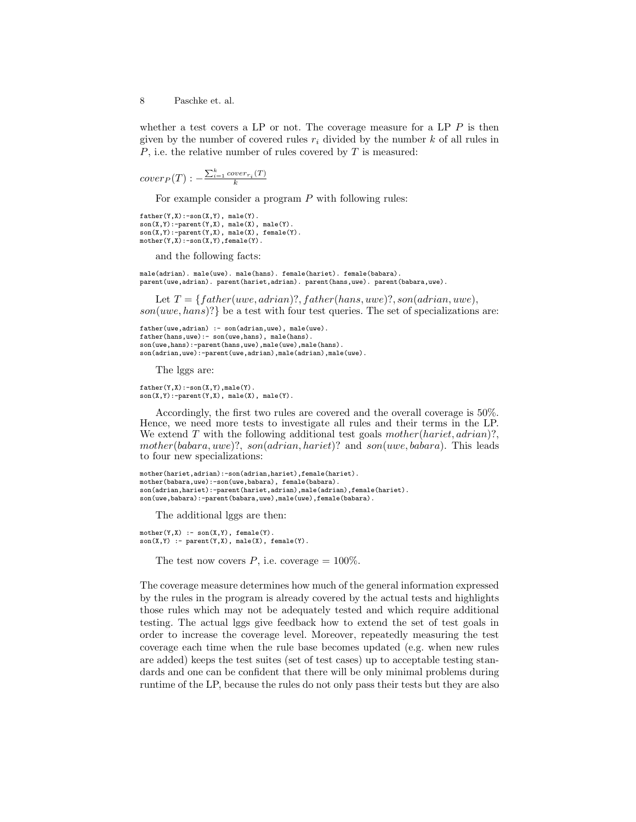whether a test covers a LP or not. The coverage measure for a LP  $P$  is then given by the number of covered rules  $r_i$  divided by the number k of all rules in  $P$ , i.e. the relative number of rules covered by  $T$  is measured:

 $cover_P(T) : -\frac{\sum_{i=1}^{k}cover_{r_i}(T)}{k}$ k

For example consider a program P with following rules:

```
father(Y, X) :- son(X, Y), male(Y).
son(X,Y):-parent(Y,X), male(X), male(Y).
son(X,Y):-parent(Y,X), male(X), female(Y).
mother(Y,X):-son(X,Y),female(Y).
```
and the following facts:

male(adrian). male(uwe). male(hans). female(hariet). female(babara). parent(uwe,adrian). parent(hariet,adrian). parent(hans,uwe). parent(babara,uwe).

Let  $T = \{father(uwe, adrian)$ ?,  $father(hans, uwe)$ ?,  $son(adrian, uwe)$ ,  $son(uwe, hans)?$  be a test with four test queries. The set of specializations are:

```
father(uwe,adrian) :- son(adrian,uwe), male(uwe)
father(hans,uwe):- son(uwe,hans), male(hans).
son(uwe,hans):-parent(hans,uwe),male(uwe),male(hans).
son(adrian,uwe):-parent(uwe,adrian),male(adrian),male(uwe).
```
The lggs are:

```
father(Y,X):=son(X,Y),male(Y).
son(X,Y):-parent(Y,X), male(X), male(Y).
```
Accordingly, the first two rules are covered and the overall coverage is 50%. Hence, we need more tests to investigate all rules and their terms in the LP. We extend T with the following additional test goals  $mother(hariet, adrian)$ ? mother(babara, uwe)?, son(adrian, hariet)? and son(uwe, babara). This leads to four new specializations:

```
mother(hariet,adrian):-son(adrian,hariet),female(hariet).
mother(babara,uwe):-son(uwe,babara), female(babara).
son(adrian,hariet):-parent(hariet,adrian),male(adrian),female(hariet).
son(uwe,babara):-parent(babara,uwe),male(uwe),female(babara).
```
The additional lggs are then:

```
mother(Y, X) :- son(X, Y), female(Y).
son(X,Y) :- parent(Y,X), male(X), female(Y).
```
The test now covers P, i.e. coverage  $= 100\%$ .

The coverage measure determines how much of the general information expressed by the rules in the program is already covered by the actual tests and highlights those rules which may not be adequately tested and which require additional testing. The actual lggs give feedback how to extend the set of test goals in order to increase the coverage level. Moreover, repeatedly measuring the test coverage each time when the rule base becomes updated (e.g. when new rules are added) keeps the test suites (set of test cases) up to acceptable testing standards and one can be confident that there will be only minimal problems during runtime of the LP, because the rules do not only pass their tests but they are also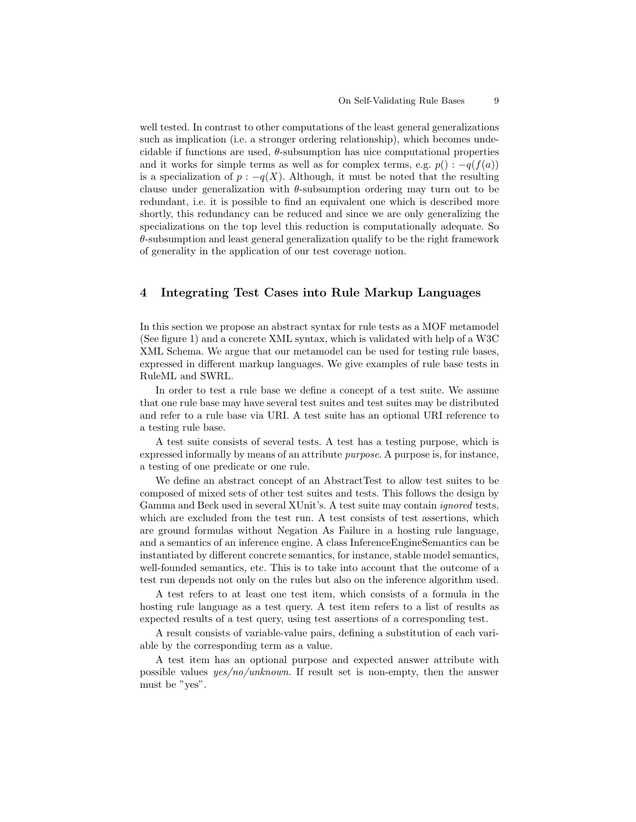well tested. In contrast to other computations of the least general generalizations such as implication (i.e. a stronger ordering relationship), which becomes undecidable if functions are used,  $\theta$ -subsumption has nice computational properties and it works for simple terms as well as for complex terms, e.g.  $p() : -q(f(a))$ is a specialization of  $p : -q(X)$ . Although, it must be noted that the resulting clause under generalization with  $\theta$ -subsumption ordering may turn out to be redundant, i.e. it is possible to find an equivalent one which is described more shortly, this redundancy can be reduced and since we are only generalizing the specializations on the top level this reduction is computationally adequate. So  $\theta$ -subsumption and least general generalization qualify to be the right framework of generality in the application of our test coverage notion.

### 4 Integrating Test Cases into Rule Markup Languages

In this section we propose an abstract syntax for rule tests as a MOF metamodel (See figure 1) and a concrete XML syntax, which is validated with help of a W3C XML Schema. We argue that our metamodel can be used for testing rule bases, expressed in different markup languages. We give examples of rule base tests in RuleML and SWRL.

In order to test a rule base we define a concept of a test suite. We assume that one rule base may have several test suites and test suites may be distributed and refer to a rule base via URI. A test suite has an optional URI reference to a testing rule base.

A test suite consists of several tests. A test has a testing purpose, which is expressed informally by means of an attribute purpose. A purpose is, for instance, a testing of one predicate or one rule.

We define an abstract concept of an AbstractTest to allow test suites to be composed of mixed sets of other test suites and tests. This follows the design by Gamma and Beck used in several XUnit's. A test suite may contain ignored tests, which are excluded from the test run. A test consists of test assertions, which are ground formulas without Negation As Failure in a hosting rule language, and a semantics of an inference engine. A class InferenceEngineSemantics can be instantiated by different concrete semantics, for instance, stable model semantics, well-founded semantics, etc. This is to take into account that the outcome of a test run depends not only on the rules but also on the inference algorithm used.

A test refers to at least one test item, which consists of a formula in the hosting rule language as a test query. A test item refers to a list of results as expected results of a test query, using test assertions of a corresponding test.

A result consists of variable-value pairs, defining a substitution of each variable by the corresponding term as a value.

A test item has an optional purpose and expected answer attribute with possible values  $yes/no/unknown$ . If result set is non-empty, then the answer must be "yes".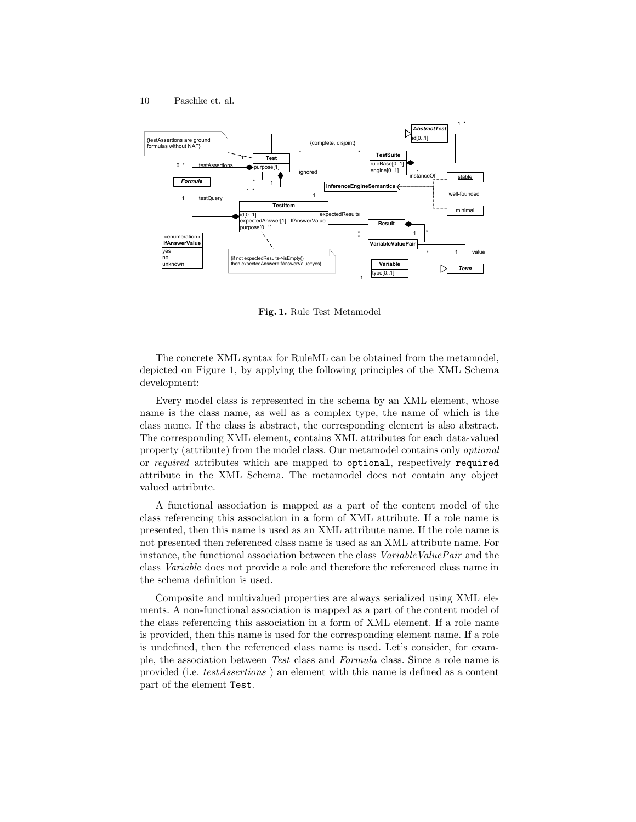

Fig. 1. Rule Test Metamodel

The concrete XML syntax for RuleML can be obtained from the metamodel, depicted on Figure 1, by applying the following principles of the XML Schema development:

Every model class is represented in the schema by an XML element, whose name is the class name, as well as a complex type, the name of which is the class name. If the class is abstract, the corresponding element is also abstract. The corresponding XML element, contains XML attributes for each data-valued property (attribute) from the model class. Our metamodel contains only optional or required attributes which are mapped to optional, respectively required attribute in the XML Schema. The metamodel does not contain any object valued attribute.

A functional association is mapped as a part of the content model of the class referencing this association in a form of XML attribute. If a role name is presented, then this name is used as an XML attribute name. If the role name is not presented then referenced class name is used as an XML attribute name. For instance, the functional association between the class  $Variable ValuePair$  and the class Variable does not provide a role and therefore the referenced class name in the schema definition is used.

Composite and multivalued properties are always serialized using XML elements. A non-functional association is mapped as a part of the content model of the class referencing this association in a form of XML element. If a role name is provided, then this name is used for the corresponding element name. If a role is undefined, then the referenced class name is used. Let's consider, for example, the association between Test class and Formula class. Since a role name is provided (i.e. testAssertions ) an element with this name is defined as a content part of the element Test.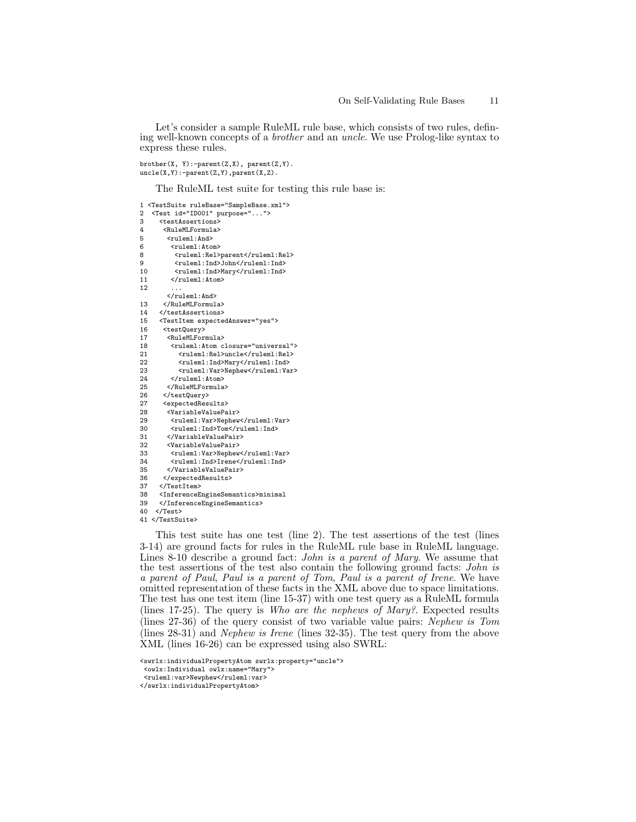Let's consider a sample RuleML rule base, which consists of two rules, defining well-known concepts of a brother and an uncle. We use Prolog-like syntax to express these rules.

brother(X, Y):-parent(Z,X), parent(Z,Y). uncle(X,Y):-parent(Z,Y),parent(X,Z).

The RuleML test suite for testing this rule base is:

| 1              | <testsuite rulebase="SampleBase.xml"></testsuite>            |
|----------------|--------------------------------------------------------------|
| $\overline{2}$ | <test id="ID001" purpose=""></test>                          |
| 3              | <testassertions></testassertions>                            |
| 4              | <rulemlformula></rulemlformula>                              |
| 5              | <ruleml:and></ruleml:and>                                    |
| 6              | <ruleml:atom></ruleml:atom>                                  |
| 8              | <ruleml:rel>parent</ruleml:rel>                              |
| 9              | <ruleml:ind>John</ruleml:ind>                                |
| 10             | <ruleml:ind>Mary</ruleml:ind>                                |
| 11             |                                                              |
| 12             |                                                              |
|                |                                                              |
| 13             |                                                              |
| 14             |                                                              |
| 15             | <testitem expectedanswer="yes"></testitem>                   |
| 16             | <testquery></testquery>                                      |
| 17             | <rulemlformula></rulemlformula>                              |
| 18             | <ruleml:atom closure="universal"></ruleml:atom>              |
| 21             | <ruleml:rel>uncle</ruleml:rel>                               |
| 22             | <ruleml:ind>Mary</ruleml:ind>                                |
| 23             | <ruleml:var>Nephew</ruleml:var>                              |
| 24             |                                                              |
| 25             |                                                              |
| 26             |                                                              |
| 27             | <expectedresults></expectedresults>                          |
| 28             | <variablevaluepair></variablevaluepair>                      |
| 29             | <ruleml:var>Nephew</ruleml:var>                              |
| 30             | <ruleml:ind>Tom</ruleml:ind>                                 |
| 31             |                                                              |
| 32             | <variablevaluepair></variablevaluepair>                      |
| 33             | <ruleml:var>Nephew</ruleml:var>                              |
| 34             | <ruleml:ind>Irene</ruleml:ind>                               |
| 35             |                                                              |
| 36             |                                                              |
| 37             |                                                              |
| 38             | <inferenceenginesemantics>minimal</inferenceenginesemantics> |
| 39             |                                                              |
| 40             |                                                              |
| 41             |                                                              |

This test suite has one test (line 2). The test assertions of the test (lines 3-14) are ground facts for rules in the RuleML rule base in RuleML language. Lines 8-10 describe a ground fact: *John is a parent of Mary*. We assume that the test assertions of the test also contain the following ground facts: John is a parent of Paul, Paul is a parent of Tom, Paul is a parent of Irene. We have omitted representation of these facts in the XML above due to space limitations. The test has one test item (line 15-37) with one test query as a RuleML formula (lines 17-25). The query is Who are the nephews of Mary?. Expected results (lines 27-36) of the query consist of two variable value pairs: Nephew is Tom (lines 28-31) and Nephew is Irene (lines 32-35). The test query from the above XML (lines 16-26) can be expressed using also SWRL:

<swrlx:individualPropertyAtom swrlx:property="uncle"> <owlx:Individual owlx:name="Mary"> <ruleml:var>Newphew</ruleml:var> </swrlx:individualPropertyAtom>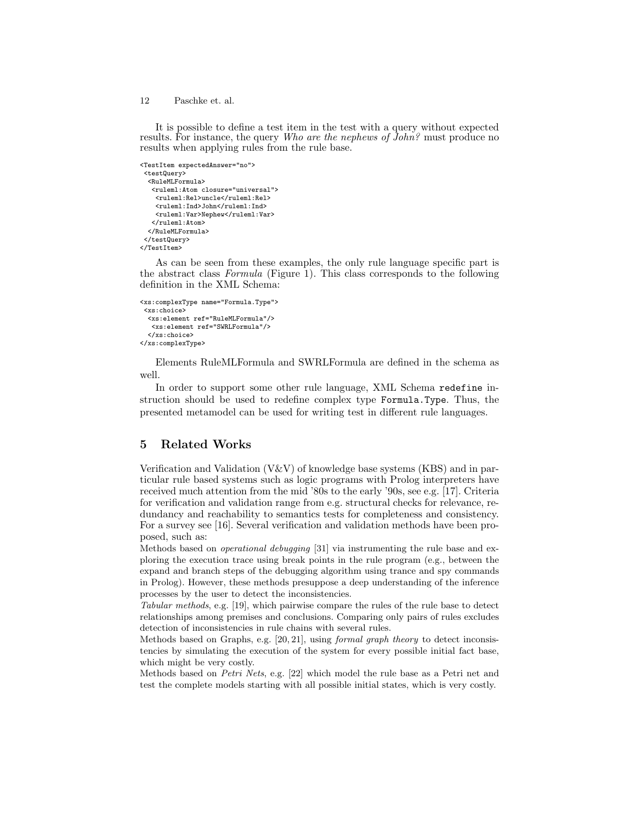It is possible to define a test item in the test with a query without expected results. For instance, the query Who are the nephews of John? must produce no results when applying rules from the rule base.

```
<TestItem expectedAnswer="no">
 <testQuery>
  <RuleMLFormula>
  <ruleml:Atom closure="universal">
    <ruleml:Rel>uncle</ruleml:Rel>
   <ruleml:Ind>John</ruleml:Ind>
   <ruleml:Var>Nephew</ruleml:Var>
   </ruleml:Atom>
 </RuleMLFormula>
 </testQuery>
</TestItem>
```
As can be seen from these examples, the only rule language specific part is the abstract class Formula (Figure 1). This class corresponds to the following definition in the XML Schema:

```
<xs:complexType name="Formula.Type">
 <xs:choice>
  <xs:element ref="RuleMLFormula"/>
   <xs:element ref="SWRLFormula"/>
  </xs:choice>
</xs:complexType>
```
Elements RuleMLFormula and SWRLFormula are defined in the schema as well.

In order to support some other rule language, XML Schema redefine instruction should be used to redefine complex type Formula.Type. Thus, the presented metamodel can be used for writing test in different rule languages.

# 5 Related Works

Verification and Validation  $(V&V)$  of knowledge base systems (KBS) and in particular rule based systems such as logic programs with Prolog interpreters have received much attention from the mid '80s to the early '90s, see e.g. [17]. Criteria for verification and validation range from e.g. structural checks for relevance, redundancy and reachability to semantics tests for completeness and consistency. For a survey see [16]. Several verification and validation methods have been proposed, such as:

Methods based on operational debugging [31] via instrumenting the rule base and exploring the execution trace using break points in the rule program (e.g., between the expand and branch steps of the debugging algorithm using trance and spy commands in Prolog). However, these methods presuppose a deep understanding of the inference processes by the user to detect the inconsistencies.

Tabular methods, e.g. [19], which pairwise compare the rules of the rule base to detect relationships among premises and conclusions. Comparing only pairs of rules excludes detection of inconsistencies in rule chains with several rules.

Methods based on Graphs, e.g. [20, 21], using formal graph theory to detect inconsistencies by simulating the execution of the system for every possible initial fact base, which might be very costly.

Methods based on Petri Nets, e.g. [22] which model the rule base as a Petri net and test the complete models starting with all possible initial states, which is very costly.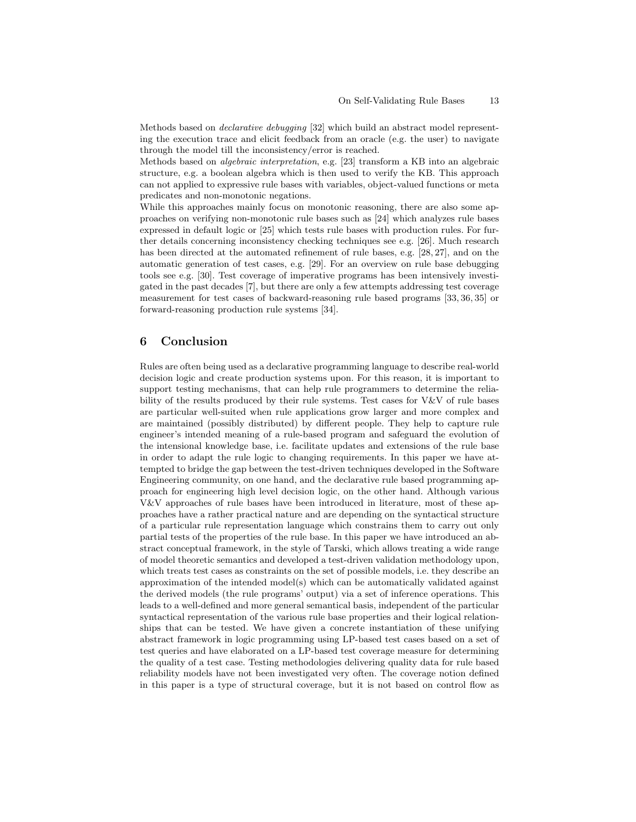Methods based on declarative debugging [32] which build an abstract model representing the execution trace and elicit feedback from an oracle (e.g. the user) to navigate through the model till the inconsistency/error is reached.

Methods based on algebraic interpretation, e.g. [23] transform a KB into an algebraic structure, e.g. a boolean algebra which is then used to verify the KB. This approach can not applied to expressive rule bases with variables, object-valued functions or meta predicates and non-monotonic negations.

While this approaches mainly focus on monotonic reasoning, there are also some approaches on verifying non-monotonic rule bases such as [24] which analyzes rule bases expressed in default logic or [25] which tests rule bases with production rules. For further details concerning inconsistency checking techniques see e.g. [26]. Much research has been directed at the automated refinement of rule bases, e.g. [28, 27], and on the automatic generation of test cases, e.g. [29]. For an overview on rule base debugging tools see e.g. [30]. Test coverage of imperative programs has been intensively investigated in the past decades [7], but there are only a few attempts addressing test coverage measurement for test cases of backward-reasoning rule based programs [33, 36, 35] or forward-reasoning production rule systems [34].

# 6 Conclusion

Rules are often being used as a declarative programming language to describe real-world decision logic and create production systems upon. For this reason, it is important to support testing mechanisms, that can help rule programmers to determine the reliability of the results produced by their rule systems. Test cases for V&V of rule bases are particular well-suited when rule applications grow larger and more complex and are maintained (possibly distributed) by different people. They help to capture rule engineer's intended meaning of a rule-based program and safeguard the evolution of the intensional knowledge base, i.e. facilitate updates and extensions of the rule base in order to adapt the rule logic to changing requirements. In this paper we have attempted to bridge the gap between the test-driven techniques developed in the Software Engineering community, on one hand, and the declarative rule based programming approach for engineering high level decision logic, on the other hand. Although various V&V approaches of rule bases have been introduced in literature, most of these approaches have a rather practical nature and are depending on the syntactical structure of a particular rule representation language which constrains them to carry out only partial tests of the properties of the rule base. In this paper we have introduced an abstract conceptual framework, in the style of Tarski, which allows treating a wide range of model theoretic semantics and developed a test-driven validation methodology upon, which treats test cases as constraints on the set of possible models, i.e. they describe an approximation of the intended model(s) which can be automatically validated against the derived models (the rule programs' output) via a set of inference operations. This leads to a well-defined and more general semantical basis, independent of the particular syntactical representation of the various rule base properties and their logical relationships that can be tested. We have given a concrete instantiation of these unifying abstract framework in logic programming using LP-based test cases based on a set of test queries and have elaborated on a LP-based test coverage measure for determining the quality of a test case. Testing methodologies delivering quality data for rule based reliability models have not been investigated very often. The coverage notion defined in this paper is a type of structural coverage, but it is not based on control flow as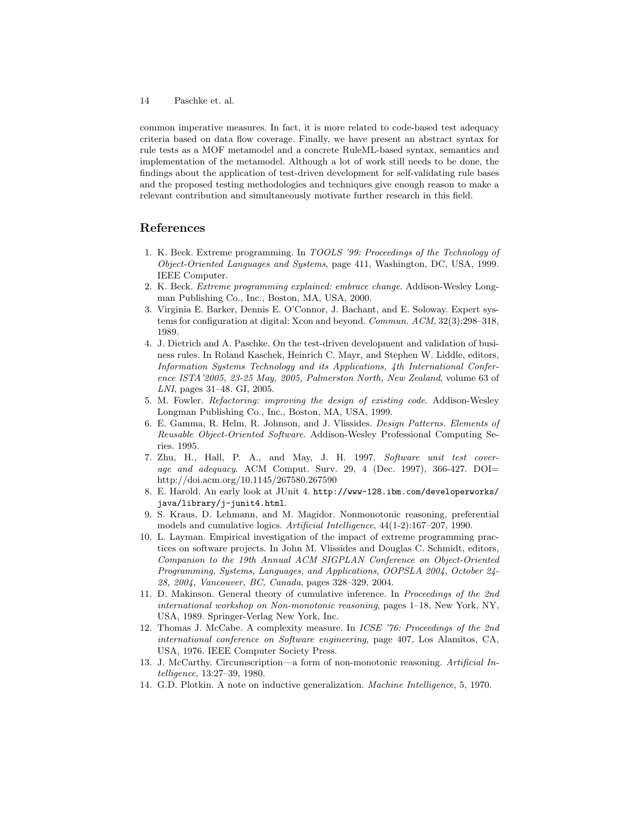common imperative measures. In fact, it is more related to code-based test adequacy criteria based on data flow coverage. Finally, we have present an abstract syntax for rule tests as a MOF metamodel and a concrete RuleML-based syntax, semantics and implementation of the metamodel. Although a lot of work still needs to be done, the findings about the application of test-driven development for self-validating rule bases and the proposed testing methodologies and techniques give enough reason to make a relevant contribution and simultaneously motivate further research in this field.

# References

- 1. K. Beck. Extreme programming. In TOOLS '99: Proceedings of the Technology of Object-Oriented Languages and Systems, page 411, Washington, DC, USA, 1999. IEEE Computer.
- 2. K. Beck. Extreme programming explained: embrace change. Addison-Wesley Longman Publishing Co., Inc., Boston, MA, USA, 2000.
- 3. Virginia E. Barker, Dennis E. O'Connor, J. Bachant, and E. Soloway. Expert systems for configuration at digital: Xcon and beyond. Commun. ACM, 32(3):298–318, 1989.
- 4. J. Dietrich and A. Paschke. On the test-driven development and validation of business rules. In Roland Kaschek, Heinrich C. Mayr, and Stephen W. Liddle, editors, Information Systems Technology and its Applications, 4th International Conference ISTA'2005, 23-25 May, 2005, Palmerston North, New Zealand, volume 63 of LNI, pages 31–48. GI, 2005.
- 5. M. Fowler. Refactoring: improving the design of existing code. Addison-Wesley Longman Publishing Co., Inc., Boston, MA, USA, 1999.
- 6. E. Gamma, R. Helm, R. Johnson, and J. Vlissides. Design Patterns. Elements of Reusable Object-Oriented Software. Addison-Wesley Professional Computing Series. 1995.
- 7. Zhu, H., Hall, P. A., and May, J. H. 1997. Software unit test coverage and adequacy. ACM Comput. Surv. 29, 4 (Dec. 1997), 366-427.  $DOI=$ http://doi.acm.org/10.1145/267580.267590
- 8. E. Harold. An early look at JUnit 4. http://www-128.ibm.com/developerworks/ java/library/j-junit4.html.
- 9. S. Kraus, D. Lehmann, and M. Magidor. Nonmonotonic reasoning, preferential models and cumulative logics. Artificial Intelligence, 44(1-2):167–207, 1990.
- 10. L. Layman. Empirical investigation of the impact of extreme programming practices on software projects. In John M. Vlissides and Douglas C. Schmidt, editors, Companion to the 19th Annual ACM SIGPLAN Conference on Object-Oriented Programming, Systems, Languages, and Applications, OOPSLA 2004, October 24- 28, 2004, Vancouver, BC, Canada, pages 328–329, 2004.
- 11. D. Makinson. General theory of cumulative inference. In Proceedings of the 2nd international workshop on Non-monotonic reasoning, pages 1–18, New York, NY, USA, 1989. Springer-Verlag New York, Inc.
- 12. Thomas J. McCabe. A complexity measure. In ICSE '76: Proceedings of the 2nd international conference on Software engineering, page 407, Los Alamitos, CA, USA, 1976. IEEE Computer Society Press.
- 13. J. McCarthy. Circumscription—a form of non-monotonic reasoning. Artificial Intelligence, 13:27–39, 1980.
- 14. G.D. Plotkin. A note on inductive generalization. Machine Intelligence, 5, 1970.